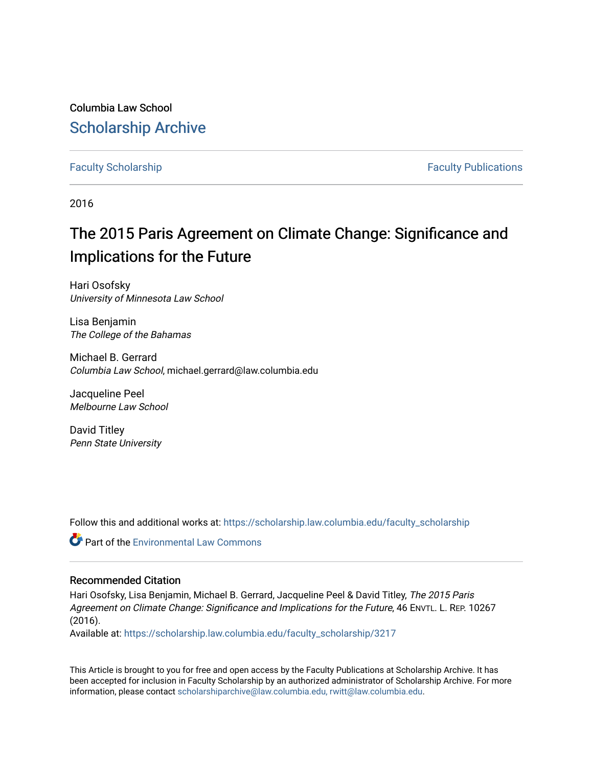Columbia Law School [Scholarship Archive](https://scholarship.law.columbia.edu/) 

[Faculty Scholarship](https://scholarship.law.columbia.edu/faculty_scholarship) **Faculty Scholarship Faculty Publications** 

2016

## The 2015 Paris Agreement on Climate Change: Significance and Implications for the Future

Hari Osofsky University of Minnesota Law School

Lisa Benjamin The College of the Bahamas

Michael B. Gerrard Columbia Law School, michael.gerrard@law.columbia.edu

Jacqueline Peel Melbourne Law School

David Titley Penn State University

Follow this and additional works at: [https://scholarship.law.columbia.edu/faculty\\_scholarship](https://scholarship.law.columbia.edu/faculty_scholarship?utm_source=scholarship.law.columbia.edu%2Ffaculty_scholarship%2F3217&utm_medium=PDF&utm_campaign=PDFCoverPages)

**C** Part of the [Environmental Law Commons](http://network.bepress.com/hgg/discipline/599?utm_source=scholarship.law.columbia.edu%2Ffaculty_scholarship%2F3217&utm_medium=PDF&utm_campaign=PDFCoverPages)

### Recommended Citation

Hari Osofsky, Lisa Benjamin, Michael B. Gerrard, Jacqueline Peel & David Titley, The 2015 Paris Agreement on Climate Change: Significance and Implications for the Future, 46 ENVTL. L. REP. 10267 (2016).

Available at: [https://scholarship.law.columbia.edu/faculty\\_scholarship/3217](https://scholarship.law.columbia.edu/faculty_scholarship/3217?utm_source=scholarship.law.columbia.edu%2Ffaculty_scholarship%2F3217&utm_medium=PDF&utm_campaign=PDFCoverPages)

This Article is brought to you for free and open access by the Faculty Publications at Scholarship Archive. It has been accepted for inclusion in Faculty Scholarship by an authorized administrator of Scholarship Archive. For more information, please contact [scholarshiparchive@law.columbia.edu, rwitt@law.columbia.edu](mailto:scholarshiparchive@law.columbia.edu,%20rwitt@law.columbia.edu).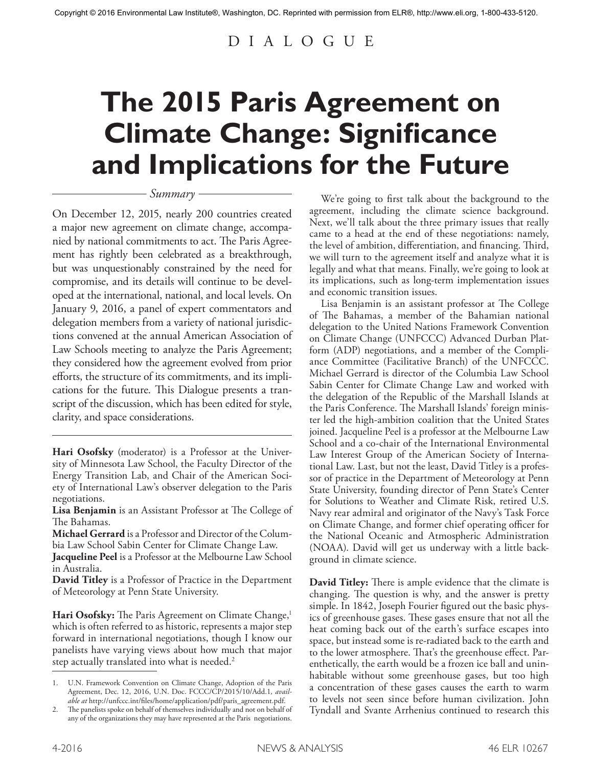### D I A L O G U E

# **The 2015 Paris Agreement on Climate Change: Significance and Implications for the Future**

### *Summary*

On December 12, 2015, nearly 200 countries created a major new agreement on climate change, accompanied by national commitments to act. The Paris Agreement has rightly been celebrated as a breakthrough, but was unquestionably constrained by the need for compromise, and its details will continue to be developed at the international, national, and local levels. On January 9, 2016, a panel of expert commentators and delegation members from a variety of national jurisdictions convened at the annual American Association of Law Schools meeting to analyze the Paris Agreement; they considered how the agreement evolved from prior efforts, the structure of its commitments, and its implications for the future. This Dialogue presents a transcript of the discussion, which has been edited for style, clarity, and space considerations.

**Hari Osofsky** (moderator) is a Professor at the University of Minnesota Law School, the Faculty Director of the Energy Transition Lab, and Chair of the American Society of International Law's observer delegation to the Paris negotiations.

**Lisa Benjamin** is an Assistant Professor at The College of The Bahamas.

**Michael Gerrard** is a Professor and Director of the Columbia Law School Sabin Center for Climate Change Law.

**Jacqueline Peel** is a Professor at the Melbourne Law School in Australia.

**David Titley** is a Professor of Practice in the Department of Meteorology at Penn State University.

**Hari Osofsky:** The Paris Agreement on Climate Change,<sup>1</sup> which is often referred to as historic, represents a major step forward in international negotiations, though I know our panelists have varying views about how much that major step actually translated into what is needed.<sup>2</sup>

We're going to first talk about the background to the agreement, including the climate science background. Next, we'll talk about the three primary issues that really came to a head at the end of these negotiations: namely, the level of ambition, differentiation, and financing. Third, we will turn to the agreement itself and analyze what it is legally and what that means. Finally, we're going to look at its implications, such as long-term implementation issues and economic transition issues.

Lisa Benjamin is an assistant professor at The College of The Bahamas, a member of the Bahamian national delegation to the United Nations Framework Convention on Climate Change (UNFCCC) Advanced Durban Platform (ADP) negotiations, and a member of the Compliance Committee (Facilitative Branch) of the UNFCCC. Michael Gerrard is director of the Columbia Law School Sabin Center for Climate Change Law and worked with the delegation of the Republic of the Marshall Islands at the Paris Conference. The Marshall Islands' foreign minister led the high-ambition coalition that the United States joined. Jacqueline Peel is a professor at the Melbourne Law School and a co-chair of the International Environmental Law Interest Group of the American Society of International Law. Last, but not the least, David Titley is a professor of practice in the Department of Meteorology at Penn State University, founding director of Penn State's Center for Solutions to Weather and Climate Risk, retired U.S. Navy rear admiral and originator of the Navy's Task Force on Climate Change, and former chief operating officer for the National Oceanic and Atmospheric Administration (NOAA). David will get us underway with a little background in climate science.

**David Titley:** There is ample evidence that the climate is changing. The question is why, and the answer is pretty simple. In 1842, Joseph Fourier figured out the basic physics of greenhouse gases. These gases ensure that not all the heat coming back out of the earth's surface escapes into space, but instead some is re-radiated back to the earth and to the lower atmosphere. That's the greenhouse effect. Parenthetically, the earth would be a frozen ice ball and uninhabitable without some greenhouse gases, but too high a concentration of these gases causes the earth to warm to levels not seen since before human civilization. John Tyndall and Svante Arrhenius continued to research this

<sup>1.</sup> U.N. Framework Convention on Climate Change, Adoption of the Paris Agreement, Dec. 12, 2016, U.N. Doc. FCCC/CP/2015/10/Add.1*, available at* http://unfccc.int/files/home/application/pdf/paris\_agreement.pdf.

The panelists spoke on behalf of themselves individually and not on behalf of any of the organizations they may have represented at the Paris negotiations.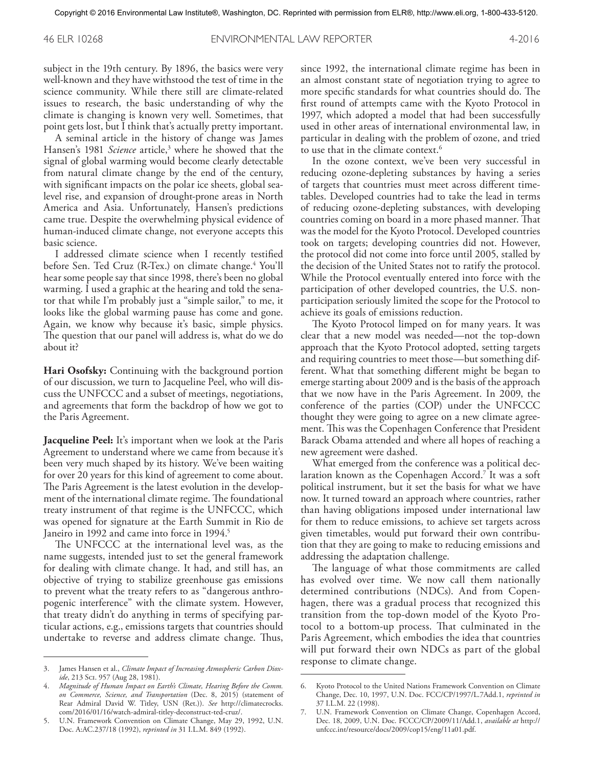46 ELR 10268 ENVIRONMENTAL LAW REPORTER 4-2016

subject in the 19th century. By 1896, the basics were very well-known and they have withstood the test of time in the science community. While there still are climate-related issues to research, the basic understanding of why the climate is changing is known very well. Sometimes, that point gets lost, but I think that's actually pretty important.

A seminal article in the history of change was James Hansen's 1981 *Science* article,<sup>3</sup> where he showed that the signal of global warming would become clearly detectable from natural climate change by the end of the century, with significant impacts on the polar ice sheets, global sealevel rise, and expansion of drought-prone areas in North America and Asia. Unfortunately, Hansen's predictions came true. Despite the overwhelming physical evidence of human-induced climate change, not everyone accepts this basic science.

I addressed climate science when I recently testified before Sen. Ted Cruz (R-Tex.) on climate change.<sup>4</sup> You'll hear some people say that since 1998, there's been no global warming. I used a graphic at the hearing and told the senator that while I'm probably just a "simple sailor," to me, it looks like the global warming pause has come and gone. Again, we know why because it's basic, simple physics. The question that our panel will address is, what do we do about it?

**Hari Osofsky:** Continuing with the background portion of our discussion, we turn to Jacqueline Peel, who will discuss the UNFCCC and a subset of meetings, negotiations, and agreements that form the backdrop of how we got to the Paris Agreement.

**Jacqueline Peel:** It's important when we look at the Paris Agreement to understand where we came from because it's been very much shaped by its history. We've been waiting for over 20 years for this kind of agreement to come about. The Paris Agreement is the latest evolution in the development of the international climate regime. The foundational treaty instrument of that regime is the UNFCCC, which was opened for signature at the Earth Summit in Rio de Janeiro in 1992 and came into force in 1994.<sup>5</sup>

The UNFCCC at the international level was, as the name suggests, intended just to set the general framework for dealing with climate change. It had, and still has, an objective of trying to stabilize greenhouse gas emissions to prevent what the treaty refers to as "dangerous anthropogenic interference" with the climate system. However, that treaty didn't do anything in terms of specifying particular actions, e.g., emissions targets that countries should undertake to reverse and address climate change. Thus,

since 1992, the international climate regime has been in an almost constant state of negotiation trying to agree to more specific standards for what countries should do. The first round of attempts came with the Kyoto Protocol in 1997, which adopted a model that had been successfully used in other areas of international environmental law, in particular in dealing with the problem of ozone, and tried to use that in the climate context.<sup>6</sup>

In the ozone context, we've been very successful in reducing ozone-depleting substances by having a series of targets that countries must meet across different timetables. Developed countries had to take the lead in terms of reducing ozone-depleting substances, with developing countries coming on board in a more phased manner. That was the model for the Kyoto Protocol. Developed countries took on targets; developing countries did not. However, the protocol did not come into force until 2005, stalled by the decision of the United States not to ratify the protocol. While the Protocol eventually entered into force with the participation of other developed countries, the U.S. nonparticipation seriously limited the scope for the Protocol to achieve its goals of emissions reduction.

The Kyoto Protocol limped on for many years. It was clear that a new model was needed—not the top-down approach that the Kyoto Protocol adopted, setting targets and requiring countries to meet those—but something different. What that something different might be began to emerge starting about 2009 and is the basis of the approach that we now have in the Paris Agreement. In 2009, the conference of the parties (COP) under the UNFCCC thought they were going to agree on a new climate agreement. This was the Copenhagen Conference that President Barack Obama attended and where all hopes of reaching a new agreement were dashed.

What emerged from the conference was a political declaration known as the Copenhagen Accord.7 It was a soft political instrument, but it set the basis for what we have now. It turned toward an approach where countries, rather than having obligations imposed under international law for them to reduce emissions, to achieve set targets across given timetables, would put forward their own contribution that they are going to make to reducing emissions and addressing the adaptation challenge.

The language of what those commitments are called has evolved over time. We now call them nationally determined contributions (NDCs). And from Copenhagen, there was a gradual process that recognized this transition from the top-down model of the Kyoto Protocol to a bottom-up process. That culminated in the Paris Agreement, which embodies the idea that countries will put forward their own NDCs as part of the global response to climate change.

<sup>3.</sup> James Hansen et al., *Climate Impact of Increasing Atmospheric Carbon Dioxide*, 213 Sci. 957 (Aug 28, 1981).

<sup>4.</sup> *Magnitude of Human Impact on Earth's Climate, Hearing Before the Comm. on Commerce, Science, and Transportation* (Dec. 8, 2015) (statement of Rear Admiral David W. Titley, USN (Ret.)). *See* http://climatecrocks. com/2016/01/16/watch-admiral-titley-deconstruct-ted-cruz/.

<sup>5.</sup> U.N. Framework Convention on Climate Change, May 29, 1992, U.N. Doc. A:AC.237/18 (1992), *reprinted in* 31 I.L.M. 849 (1992).

<sup>6.</sup> Kyoto Protocol to the United Nations Framework Convention on Climate Change, Dec. 10, 1997, U.N. Doc. FCC/CP/1997/L.7Add.1, *reprinted in* 37 I.L.M. 22 (1998).

U.N. Framework Convention on Climate Change, Copenhagen Accord, Dec. 18, 2009, U.N. Doc. FCCC/CP/2009/11/Add.1, *available at* http:// unfccc.int/resource/docs/2009/cop15/eng/11a01.pdf.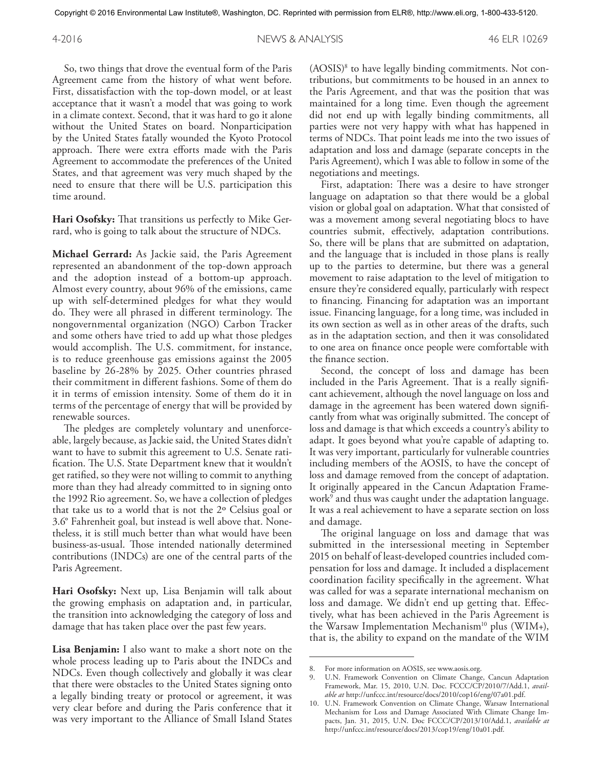So, two things that drove the eventual form of the Paris Agreement came from the history of what went before. First, dissatisfaction with the top-down model, or at least acceptance that it wasn't a model that was going to work in a climate context. Second, that it was hard to go it alone without the United States on board. Nonparticipation by the United States fatally wounded the Kyoto Protocol approach. There were extra efforts made with the Paris Agreement to accommodate the preferences of the United States, and that agreement was very much shaped by the need to ensure that there will be U.S. participation this time around.

**Hari Osofsky:** That transitions us perfectly to Mike Gerrard, who is going to talk about the structure of NDCs.

**Michael Gerrard:** As Jackie said, the Paris Agreement represented an abandonment of the top-down approach and the adoption instead of a bottom-up approach. Almost every country, about 96% of the emissions, came up with self-determined pledges for what they would do. They were all phrased in different terminology. The nongovernmental organization (NGO) Carbon Tracker and some others have tried to add up what those pledges would accomplish. The U.S. commitment, for instance, is to reduce greenhouse gas emissions against the 2005 baseline by 26-28% by 2025. Other countries phrased their commitment in different fashions. Some of them do it in terms of emission intensity. Some of them do it in terms of the percentage of energy that will be provided by renewable sources.

The pledges are completely voluntary and unenforceable, largely because, as Jackie said, the United States didn't want to have to submit this agreement to U.S. Senate ratification. The U.S. State Department knew that it wouldn't get ratified, so they were not willing to commit to anything more than they had already committed to in signing onto the 1992 Rio agreement. So, we have a collection of pledges that take us to a world that is not the 2º Celsius goal or 3.6° Fahrenheit goal, but instead is well above that. Nonetheless, it is still much better than what would have been business-as-usual. Those intended nationally determined contributions (INDCs) are one of the central parts of the Paris Agreement.

**Hari Osofsky:** Next up, Lisa Benjamin will talk about the growing emphasis on adaptation and, in particular, the transition into acknowledging the category of loss and damage that has taken place over the past few years.

**Lisa Benjamin:** I also want to make a short note on the whole process leading up to Paris about the INDCs and NDCs. Even though collectively and globally it was clear that there were obstacles to the United States signing onto a legally binding treaty or protocol or agreement, it was very clear before and during the Paris conference that it was very important to the Alliance of Small Island States

(AOSIS)8 to have legally binding commitments. Not contributions, but commitments to be housed in an annex to the Paris Agreement, and that was the position that was maintained for a long time. Even though the agreement did not end up with legally binding commitments, all parties were not very happy with what has happened in terms of NDCs. That point leads me into the two issues of adaptation and loss and damage (separate concepts in the Paris Agreement), which I was able to follow in some of the negotiations and meetings.

First, adaptation: There was a desire to have stronger language on adaptation so that there would be a global vision or global goal on adaptation. What that consisted of was a movement among several negotiating blocs to have countries submit, effectively, adaptation contributions. So, there will be plans that are submitted on adaptation, and the language that is included in those plans is really up to the parties to determine, but there was a general movement to raise adaptation to the level of mitigation to ensure they're considered equally, particularly with respect to financing. Financing for adaptation was an important issue. Financing language, for a long time, was included in its own section as well as in other areas of the drafts, such as in the adaptation section, and then it was consolidated to one area on finance once people were comfortable with the finance section.

Second, the concept of loss and damage has been included in the Paris Agreement. That is a really significant achievement, although the novel language on loss and damage in the agreement has been watered down significantly from what was originally submitted. The concept of loss and damage is that which exceeds a country's ability to adapt. It goes beyond what you're capable of adapting to. It was very important, particularly for vulnerable countries including members of the AOSIS, to have the concept of loss and damage removed from the concept of adaptation. It originally appeared in the Cancun Adaptation Framework $^9$  and thus was caught under the adaptation language. It was a real achievement to have a separate section on loss and damage.

The original language on loss and damage that was submitted in the intersessional meeting in September 2015 on behalf of least-developed countries included compensation for loss and damage. It included a displacement coordination facility specifically in the agreement. What was called for was a separate international mechanism on loss and damage. We didn't end up getting that. Effectively, what has been achieved in the Paris Agreement is the Warsaw Implementation Mechanism<sup>10</sup> plus (WIM+), that is, the ability to expand on the mandate of the WIM

<sup>8.</sup> For more information on AOSIS, see www.aosis.org.

<sup>9.</sup> U.N. Framework Convention on Climate Change, Cancun Adaptation Framework, Mar. 15, 2010, U.N. Doc. FCCC/CP/2010/7/Add.1, *available at* http://unfccc.int/resource/docs/2010/cop16/eng/07a01.pdf.

<sup>10.</sup> U.N. Framework Convention on Climate Change, Warsaw International Mechanism for Loss and Damage Associated With Climate Change Impacts, Jan. 31, 2015, U.N. Doc FCCC/CP/2013/10/Add.1, *available at* http://unfccc.int/resource/docs/2013/cop19/eng/10a01.pdf.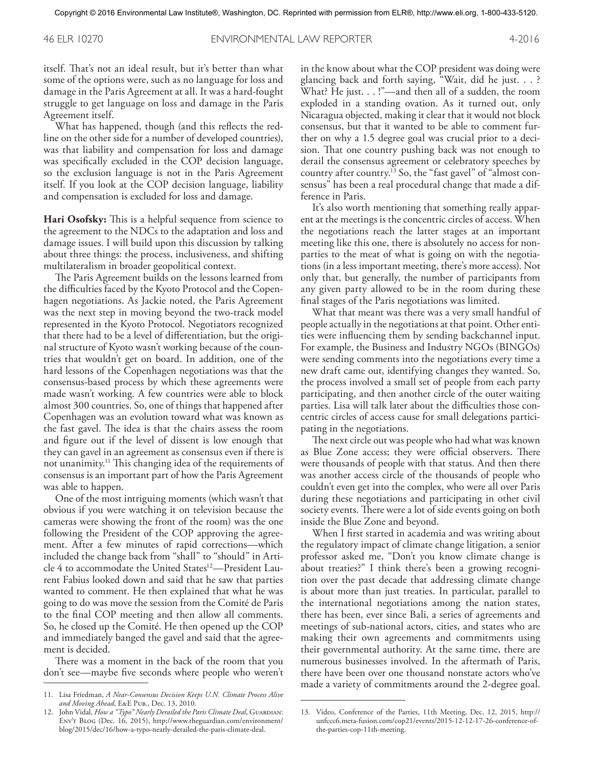46 ELR 10270 ENVIRONMENTAL LAW REPORTER 4-2016

itself. That's not an ideal result, but it's better than what some of the options were, such as no language for loss and damage in the Paris Agreement at all. It was a hard-fought struggle to get language on loss and damage in the Paris Agreement itself.

What has happened, though (and this reflects the redline on the other side for a number of developed countries), was that liability and compensation for loss and damage was specifically excluded in the COP decision language, so the exclusion language is not in the Paris Agreement itself. If you look at the COP decision language, liability and compensation is excluded for loss and damage.

**Hari Osofsky:** This is a helpful sequence from science to the agreement to the NDCs to the adaptation and loss and damage issues. I will build upon this discussion by talking about three things: the process, inclusiveness, and shifting multilateralism in broader geopolitical context.

The Paris Agreement builds on the lessons learned from the difficulties faced by the Kyoto Protocol and the Copenhagen negotiations. As Jackie noted, the Paris Agreement was the next step in moving beyond the two-track model represented in the Kyoto Protocol. Negotiators recognized that there had to be a level of differentiation, but the original structure of Kyoto wasn't working because of the countries that wouldn't get on board. In addition, one of the hard lessons of the Copenhagen negotiations was that the consensus-based process by which these agreements were made wasn't working. A few countries were able to block almost 300 countries. So, one of things that happened after Copenhagen was an evolution toward what was known as the fast gavel. The idea is that the chairs assess the room and figure out if the level of dissent is low enough that they can gavel in an agreement as consensus even if there is not unanimity.11 This changing idea of the requirements of consensus is an important part of how the Paris Agreement was able to happen.

One of the most intriguing moments (which wasn't that obvious if you were watching it on television because the cameras were showing the front of the room) was the one following the President of the COP approving the agreement. After a few minutes of rapid corrections—which included the change back from "shall" to "should" in Article 4 to accommodate the United States<sup>12</sup>—President Laurent Fabius looked down and said that he saw that parties wanted to comment. He then explained that what he was going to do was move the session from the Comité de Paris to the final COP meeting and then allow all comments. So, he closed up the Comité. He then opened up the COP and immediately banged the gavel and said that the agreement is decided.

There was a moment in the back of the room that you don't see—maybe five seconds where people who weren't in the know about what the COP president was doing were glancing back and forth saying, "Wait, did he just. . . ? What? He just. . . !"—and then all of a sudden, the room exploded in a standing ovation. As it turned out, only Nicaragua objected, making it clear that it would not block consensus, but that it wanted to be able to comment further on why a 1.5 degree goal was crucial prior to a decision. That one country pushing back was not enough to derail the consensus agreement or celebratory speeches by country after country.13 So, the "fast gavel" of "almost consensus" has been a real procedural change that made a difference in Paris.

It's also worth mentioning that something really apparent at the meetings is the concentric circles of access. When the negotiations reach the latter stages at an important meeting like this one, there is absolutely no access for nonparties to the meat of what is going on with the negotiations (in a less important meeting, there's more access). Not only that, but generally, the number of participants from any given party allowed to be in the room during these final stages of the Paris negotiations was limited.

What that meant was there was a very small handful of people actually in the negotiations at that point. Other entities were influencing them by sending backchannel input. For example, the Business and Industry NGOs (BINGOs) were sending comments into the negotiations every time a new draft came out, identifying changes they wanted. So, the process involved a small set of people from each party participating, and then another circle of the outer waiting parties. Lisa will talk later about the difficulties those concentric circles of access cause for small delegations participating in the negotiations.

The next circle out was people who had what was known as Blue Zone access; they were official observers. There were thousands of people with that status. And then there was another access circle of the thousands of people who couldn't even get into the complex, who were all over Paris during these negotiations and participating in other civil society events. There were a lot of side events going on both inside the Blue Zone and beyond.

When I first started in academia and was writing about the regulatory impact of climate change litigation, a senior professor asked me, "Don't you know climate change is about treaties?" I think there's been a growing recognition over the past decade that addressing climate change is about more than just treaties. In particular, parallel to the international negotiations among the nation states, there has been, ever since Bali, a series of agreements and meetings of sub-national actors, cities, and states who are making their own agreements and commitments using their governmental authority. At the same time, there are numerous businesses involved. In the aftermath of Paris, there have been over one thousand nonstate actors who've made a variety of commitments around the 2-degree goal.

<sup>11.</sup> Lisa Friedman, *A Near-Consensus Decision Keeps U.N. Climate Process Alive and Moving Ahead*, E&E Pub., Dec. 13, 2010.

<sup>12.</sup> John Vidal, *How a "Typo" Nearly Derailed the Paris Climate Deal*, GUARDIAN: Env't Blog (Dec. 16, 2015), http://www.theguardian.com/environment/ blog/2015/dec/16/how-a-typo-nearly-derailed-the-paris-climate-deal.

<sup>13.</sup> Video, Conference of the Parties, 11th Meeting, Dec. 12, 2015, http:// unfccc6.meta-fusion.com/cop21/events/2015-12-12-17-26-conference-ofthe-parties-cop-11th-meeting.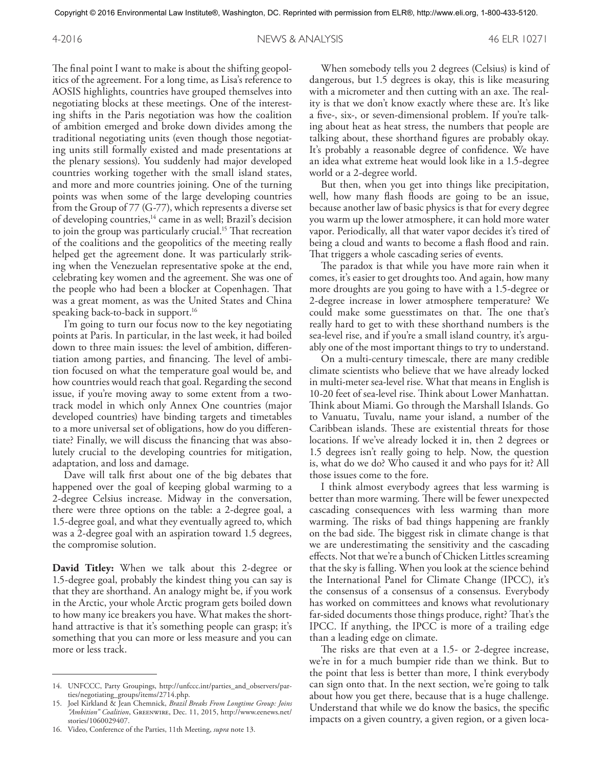The final point I want to make is about the shifting geopolitics of the agreement. For a long time, as Lisa's reference to AOSIS highlights, countries have grouped themselves into negotiating blocks at these meetings. One of the interesting shifts in the Paris negotiation was how the coalition of ambition emerged and broke down divides among the traditional negotiating units (even though those negotiating units still formally existed and made presentations at the plenary sessions). You suddenly had major developed countries working together with the small island states, and more and more countries joining. One of the turning points was when some of the large developing countries from the Group of 77 (G-77), which represents a diverse set of developing countries,<sup>14</sup> came in as well; Brazil's decision to join the group was particularly crucial.<sup>15</sup> That recreation of the coalitions and the geopolitics of the meeting really helped get the agreement done. It was particularly striking when the Venezuelan representative spoke at the end, celebrating key women and the agreement. She was one of the people who had been a blocker at Copenhagen. That was a great moment, as was the United States and China speaking back-to-back in support.<sup>16</sup>

I'm going to turn our focus now to the key negotiating points at Paris. In particular, in the last week, it had boiled down to three main issues: the level of ambition, differentiation among parties, and financing. The level of ambition focused on what the temperature goal would be, and how countries would reach that goal. Regarding the second issue, if you're moving away to some extent from a twotrack model in which only Annex One countries (major developed countries) have binding targets and timetables to a more universal set of obligations, how do you differentiate? Finally, we will discuss the financing that was absolutely crucial to the developing countries for mitigation, adaptation, and loss and damage.

Dave will talk first about one of the big debates that happened over the goal of keeping global warming to a 2-degree Celsius increase. Midway in the conversation, there were three options on the table: a 2-degree goal, a 1.5-degree goal, and what they eventually agreed to, which was a 2-degree goal with an aspiration toward 1.5 degrees, the compromise solution.

**David Titley:** When we talk about this 2-degree or 1.5-degree goal, probably the kindest thing you can say is that they are shorthand. An analogy might be, if you work in the Arctic, your whole Arctic program gets boiled down to how many ice breakers you have. What makes the shorthand attractive is that it's something people can grasp; it's something that you can more or less measure and you can more or less track.

When somebody tells you 2 degrees (Celsius) is kind of dangerous, but 1.5 degrees is okay, this is like measuring with a micrometer and then cutting with an axe. The reality is that we don't know exactly where these are. It's like a five-, six-, or seven-dimensional problem. If you're talking about heat as heat stress, the numbers that people are talking about, these shorthand figures are probably okay. It's probably a reasonable degree of confidence. We have an idea what extreme heat would look like in a 1.5-degree world or a 2-degree world.

But then, when you get into things like precipitation, well, how many flash floods are going to be an issue, because another law of basic physics is that for every degree you warm up the lower atmosphere, it can hold more water vapor. Periodically, all that water vapor decides it's tired of being a cloud and wants to become a flash flood and rain. That triggers a whole cascading series of events.

The paradox is that while you have more rain when it comes, it's easier to get droughts too. And again, how many more droughts are you going to have with a 1.5-degree or 2-degree increase in lower atmosphere temperature? We could make some guesstimates on that. The one that's really hard to get to with these shorthand numbers is the sea-level rise, and if you're a small island country, it's arguably one of the most important things to try to understand.

On a multi-century timescale, there are many credible climate scientists who believe that we have already locked in multi-meter sea-level rise. What that means in English is 10-20 feet of sea-level rise. Think about Lower Manhattan. Think about Miami. Go through the Marshall Islands. Go to Vanuatu, Tuvalu, name your island, a number of the Caribbean islands. These are existential threats for those locations. If we've already locked it in, then 2 degrees or 1.5 degrees isn't really going to help. Now, the question is, what do we do? Who caused it and who pays for it? All those issues come to the fore.

I think almost everybody agrees that less warming is better than more warming. There will be fewer unexpected cascading consequences with less warming than more warming. The risks of bad things happening are frankly on the bad side. The biggest risk in climate change is that we are underestimating the sensitivity and the cascading effects. Not that we're a bunch of Chicken Littles screaming that the sky is falling. When you look at the science behind the International Panel for Climate Change (IPCC), it's the consensus of a consensus of a consensus. Everybody has worked on committees and knows what revolutionary far-sided documents those things produce, right? That's the IPCC. If anything, the IPCC is more of a trailing edge than a leading edge on climate.

The risks are that even at a 1.5- or 2-degree increase, we're in for a much bumpier ride than we think. But to the point that less is better than more, I think everybody can sign onto that. In the next section, we're going to talk about how you get there, because that is a huge challenge. Understand that while we do know the basics, the specific impacts on a given country, a given region, or a given loca-

<sup>14.</sup> UNFCCC, Party Groupings, http://unfccc.int/parties\_and\_observers/parties/negotiating\_groups/items/2714.php.

<sup>15.</sup> Joel Kirkland & Jean Chemnick, *Brazil Breaks From Longtime Group: Joins "Ambition" Coalition*, Greenwire, Dec. 11, 2015, http://www.eenews.net/ stories/1060029407.

<sup>16.</sup> Video, Conference of the Parties, 11th Meeting, *supra* note 13.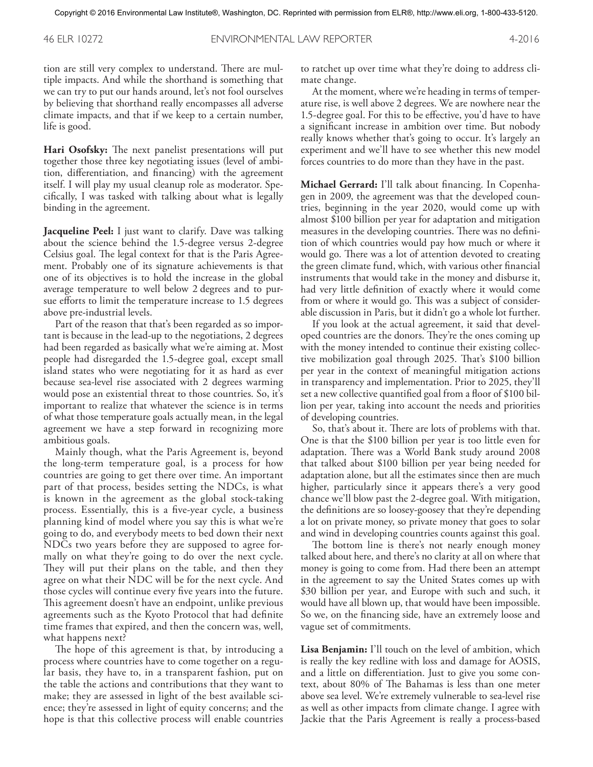tion are still very complex to understand. There are multiple impacts. And while the shorthand is something that we can try to put our hands around, let's not fool ourselves by believing that shorthand really encompasses all adverse climate impacts, and that if we keep to a certain number, life is good.

**Hari Osofsky:** The next panelist presentations will put together those three key negotiating issues (level of ambition, differentiation, and financing) with the agreement itself. I will play my usual cleanup role as moderator. Specifically, I was tasked with talking about what is legally binding in the agreement.

**Jacqueline Peel:** I just want to clarify. Dave was talking about the science behind the 1.5-degree versus 2-degree Celsius goal. The legal context for that is the Paris Agreement. Probably one of its signature achievements is that one of its objectives is to hold the increase in the global average temperature to well below 2 degrees and to pursue efforts to limit the temperature increase to 1.5 degrees above pre-industrial levels.

Part of the reason that that's been regarded as so important is because in the lead-up to the negotiations, 2 degrees had been regarded as basically what we're aiming at. Most people had disregarded the 1.5-degree goal, except small island states who were negotiating for it as hard as ever because sea-level rise associated with 2 degrees warming would pose an existential threat to those countries. So, it's important to realize that whatever the science is in terms of what those temperature goals actually mean, in the legal agreement we have a step forward in recognizing more ambitious goals.

Mainly though, what the Paris Agreement is, beyond the long-term temperature goal, is a process for how countries are going to get there over time. An important part of that process, besides setting the NDCs, is what is known in the agreement as the global stock-taking process. Essentially, this is a five-year cycle, a business planning kind of model where you say this is what we're going to do, and everybody meets to bed down their next NDCs two years before they are supposed to agree formally on what they're going to do over the next cycle. They will put their plans on the table, and then they agree on what their NDC will be for the next cycle. And those cycles will continue every five years into the future. This agreement doesn't have an endpoint, unlike previous agreements such as the Kyoto Protocol that had definite time frames that expired, and then the concern was, well, what happens next?

The hope of this agreement is that, by introducing a process where countries have to come together on a regular basis, they have to, in a transparent fashion, put on the table the actions and contributions that they want to make; they are assessed in light of the best available science; they're assessed in light of equity concerns; and the hope is that this collective process will enable countries to ratchet up over time what they're doing to address climate change.

At the moment, where we're heading in terms of temperature rise, is well above 2 degrees. We are nowhere near the 1.5-degree goal. For this to be effective, you'd have to have a significant increase in ambition over time. But nobody really knows whether that's going to occur. It's largely an experiment and we'll have to see whether this new model forces countries to do more than they have in the past.

**Michael Gerrard:** I'll talk about financing. In Copenhagen in 2009, the agreement was that the developed countries, beginning in the year 2020, would come up with almost \$100 billion per year for adaptation and mitigation measures in the developing countries. There was no definition of which countries would pay how much or where it would go. There was a lot of attention devoted to creating the green climate fund, which, with various other financial instruments that would take in the money and disburse it, had very little definition of exactly where it would come from or where it would go. This was a subject of considerable discussion in Paris, but it didn't go a whole lot further.

If you look at the actual agreement, it said that developed countries are the donors. They're the ones coming up with the money intended to continue their existing collective mobilization goal through 2025. That's \$100 billion per year in the context of meaningful mitigation actions in transparency and implementation. Prior to 2025, they'll set a new collective quantified goal from a floor of \$100 billion per year, taking into account the needs and priorities of developing countries.

So, that's about it. There are lots of problems with that. One is that the \$100 billion per year is too little even for adaptation. There was a World Bank study around 2008 that talked about \$100 billion per year being needed for adaptation alone, but all the estimates since then are much higher, particularly since it appears there's a very good chance we'll blow past the 2-degree goal. With mitigation, the definitions are so loosey-goosey that they're depending a lot on private money, so private money that goes to solar and wind in developing countries counts against this goal.

The bottom line is there's not nearly enough money talked about here, and there's no clarity at all on where that money is going to come from. Had there been an attempt in the agreement to say the United States comes up with \$30 billion per year, and Europe with such and such, it would have all blown up, that would have been impossible. So we, on the financing side, have an extremely loose and vague set of commitments.

**Lisa Benjamin:** I'll touch on the level of ambition, which is really the key redline with loss and damage for AOSIS, and a little on differentiation. Just to give you some context, about 80% of The Bahamas is less than one meter above sea level. We're extremely vulnerable to sea-level rise as well as other impacts from climate change. I agree with Jackie that the Paris Agreement is really a process-based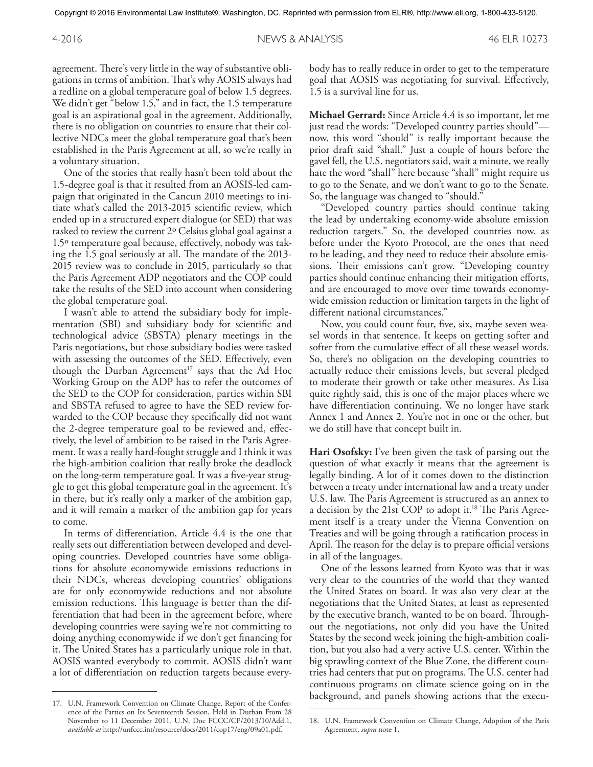agreement. There's very little in the way of substantive obligations in terms of ambition. That's why AOSIS always had a redline on a global temperature goal of below 1.5 degrees. We didn't get "below 1.5," and in fact, the 1.5 temperature goal is an aspirational goal in the agreement. Additionally, there is no obligation on countries to ensure that their collective NDCs meet the global temperature goal that's been established in the Paris Agreement at all, so we're really in a voluntary situation.

One of the stories that really hasn't been told about the 1.5-degree goal is that it resulted from an AOSIS-led campaign that originated in the Cancun 2010 meetings to initiate what's called the 2013-2015 scientific review, which ended up in a structured expert dialogue (or SED) that was tasked to review the current 2º Celsius global goal against a 1.5º temperature goal because, effectively, nobody was taking the 1.5 goal seriously at all. The mandate of the 2013- 2015 review was to conclude in 2015, particularly so that the Paris Agreement ADP negotiators and the COP could take the results of the SED into account when considering the global temperature goal.

I wasn't able to attend the subsidiary body for implementation (SBI) and subsidiary body for scientific and technological advice (SBSTA) plenary meetings in the Paris negotiations, but those subsidiary bodies were tasked with assessing the outcomes of the SED. Effectively, even though the Durban Agreement<sup>17</sup> says that the Ad Hoc Working Group on the ADP has to refer the outcomes of the SED to the COP for consideration, parties within SBI and SBSTA refused to agree to have the SED review forwarded to the COP because they specifically did not want the 2-degree temperature goal to be reviewed and, effectively, the level of ambition to be raised in the Paris Agreement. It was a really hard-fought struggle and I think it was the high-ambition coalition that really broke the deadlock on the long-term temperature goal. It was a five-year struggle to get this global temperature goal in the agreement. It's in there, but it's really only a marker of the ambition gap, and it will remain a marker of the ambition gap for years to come.

In terms of differentiation, Article 4.4 is the one that really sets out differentiation between developed and developing countries. Developed countries have some obligations for absolute economywide emissions reductions in their NDCs, whereas developing countries' obligations are for only economywide reductions and not absolute emission reductions. This language is better than the differentiation that had been in the agreement before, where developing countries were saying we're not committing to doing anything economywide if we don't get financing for it. The United States has a particularly unique role in that. AOSIS wanted everybody to commit. AOSIS didn't want a lot of differentiation on reduction targets because every-

17. U.N. Framework Convention on Climate Change, Report of the Conference of the Parties on Its Seventeenth Session, Held in Durban From 28 November to 11 December 2011, U.N. Doc FCCC/CP/2013/10/Add.1, *available at* http://unfccc.int/resource/docs/2011/cop17/eng/09a01.pdf.

body has to really reduce in order to get to the temperature goal that AOSIS was negotiating for survival. Effectively, 1.5 is a survival line for us.

**Michael Gerrard:** Since Article 4.4 is so important, let me just read the words: "Developed country parties should" now, this word "should" is really important because the prior draft said "shall." Just a couple of hours before the gavel fell, the U.S. negotiators said, wait a minute, we really hate the word "shall" here because "shall" might require us to go to the Senate, and we don't want to go to the Senate. So, the language was changed to "should."

"Developed country parties should continue taking the lead by undertaking economy-wide absolute emission reduction targets." So, the developed countries now, as before under the Kyoto Protocol, are the ones that need to be leading, and they need to reduce their absolute emissions. Their emissions can't grow. "Developing country parties should continue enhancing their mitigation efforts, and are encouraged to move over time towards economywide emission reduction or limitation targets in the light of different national circumstances."

Now, you could count four, five, six, maybe seven weasel words in that sentence. It keeps on getting softer and softer from the cumulative effect of all these weasel words. So, there's no obligation on the developing countries to actually reduce their emissions levels, but several pledged to moderate their growth or take other measures. As Lisa quite rightly said, this is one of the major places where we have differentiation continuing. We no longer have stark Annex 1 and Annex 2. You're not in one or the other, but we do still have that concept built in.

**Hari Osofsky:** I've been given the task of parsing out the question of what exactly it means that the agreement is legally binding. A lot of it comes down to the distinction between a treaty under international law and a treaty under U.S. law. The Paris Agreement is structured as an annex to a decision by the 21st COP to adopt it.18 The Paris Agreement itself is a treaty under the Vienna Convention on Treaties and will be going through a ratification process in April. The reason for the delay is to prepare official versions in all of the languages.

One of the lessons learned from Kyoto was that it was very clear to the countries of the world that they wanted the United States on board. It was also very clear at the negotiations that the United States, at least as represented by the executive branch, wanted to be on board. Throughout the negotiations, not only did you have the United States by the second week joining the high-ambition coalition, but you also had a very active U.S. center. Within the big sprawling context of the Blue Zone, the different countries had centers that put on programs. The U.S. center had continuous programs on climate science going on in the background, and panels showing actions that the execu-

<sup>18.</sup> U.N. Framework Convention on Climate Change, Adoption of the Paris Agreement, *supra* note 1.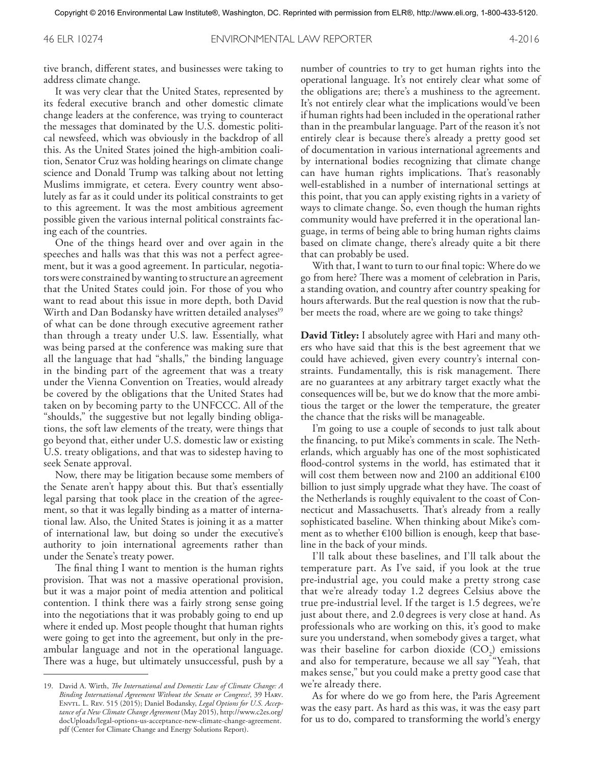tive branch, different states, and businesses were taking to address climate change.

It was very clear that the United States, represented by its federal executive branch and other domestic climate change leaders at the conference, was trying to counteract the messages that dominated by the U.S. domestic political newsfeed, which was obviously in the backdrop of all this. As the United States joined the high-ambition coalition, Senator Cruz was holding hearings on climate change science and Donald Trump was talking about not letting Muslims immigrate, et cetera. Every country went absolutely as far as it could under its political constraints to get to this agreement. It was the most ambitious agreement possible given the various internal political constraints facing each of the countries.

One of the things heard over and over again in the speeches and halls was that this was not a perfect agreement, but it was a good agreement. In particular, negotiators were constrained by wanting to structure an agreement that the United States could join. For those of you who want to read about this issue in more depth, both David Wirth and Dan Bodansky have written detailed analyses<sup>19</sup> of what can be done through executive agreement rather than through a treaty under U.S. law. Essentially, what was being parsed at the conference was making sure that all the language that had "shalls," the binding language in the binding part of the agreement that was a treaty under the Vienna Convention on Treaties, would already be covered by the obligations that the United States had taken on by becoming party to the UNFCCC. All of the "shoulds," the suggestive but not legally binding obligations, the soft law elements of the treaty, were things that go beyond that, either under U.S. domestic law or existing U.S. treaty obligations, and that was to sidestep having to seek Senate approval.

Now, there may be litigation because some members of the Senate aren't happy about this. But that's essentially legal parsing that took place in the creation of the agreement, so that it was legally binding as a matter of international law. Also, the United States is joining it as a matter of international law, but doing so under the executive's authority to join international agreements rather than under the Senate's treaty power.

The final thing I want to mention is the human rights provision. That was not a massive operational provision, but it was a major point of media attention and political contention. I think there was a fairly strong sense going into the negotiations that it was probably going to end up where it ended up. Most people thought that human rights were going to get into the agreement, but only in the preambular language and not in the operational language. There was a huge, but ultimately unsuccessful, push by a

number of countries to try to get human rights into the operational language. It's not entirely clear what some of the obligations are; there's a mushiness to the agreement. It's not entirely clear what the implications would've been if human rights had been included in the operational rather than in the preambular language. Part of the reason it's not entirely clear is because there's already a pretty good set of documentation in various international agreements and by international bodies recognizing that climate change can have human rights implications. That's reasonably well-established in a number of international settings at this point, that you can apply existing rights in a variety of ways to climate change. So, even though the human rights community would have preferred it in the operational language, in terms of being able to bring human rights claims based on climate change, there's already quite a bit there that can probably be used.

With that, I want to turn to our final topic: Where do we go from here? There was a moment of celebration in Paris, a standing ovation, and country after country speaking for hours afterwards. But the real question is now that the rubber meets the road, where are we going to take things?

**David Titley:** I absolutely agree with Hari and many others who have said that this is the best agreement that we could have achieved, given every country's internal constraints. Fundamentally, this is risk management. There are no guarantees at any arbitrary target exactly what the consequences will be, but we do know that the more ambitious the target or the lower the temperature, the greater the chance that the risks will be manageable.

I'm going to use a couple of seconds to just talk about the financing, to put Mike's comments in scale. The Netherlands, which arguably has one of the most sophisticated flood-control systems in the world, has estimated that it will cost them between now and 2100 an additional  $\epsilon$ 100 billion to just simply upgrade what they have. The coast of the Netherlands is roughly equivalent to the coast of Connecticut and Massachusetts. That's already from a really sophisticated baseline. When thinking about Mike's comment as to whether  $\epsilon$ 100 billion is enough, keep that baseline in the back of your minds.

I'll talk about these baselines, and I'll talk about the temperature part. As I've said, if you look at the true pre-industrial age, you could make a pretty strong case that we're already today 1.2 degrees Celsius above the true pre-industrial level. If the target is 1.5 degrees, we're just about there, and 2.0 degrees is very close at hand. As professionals who are working on this, it's good to make sure you understand, when somebody gives a target, what was their baseline for carbon dioxide  $(CO_2)$  emissions and also for temperature, because we all say "Yeah, that makes sense," but you could make a pretty good case that we're already there.

As for where do we go from here, the Paris Agreement was the easy part. As hard as this was, it was the easy part for us to do, compared to transforming the world's energy

<sup>19.</sup> David A. Wirth, *The International and Domestic Law of Climate Change: A Binding International Agreement Without the Senate or Congress?*, 39 Harv. ENVTL. L. REV. 515 (2015); Daniel Bodansky, Legal Options for U.S. Accep*tance of a New Climate Change Agreement* (May 2015), http://www.c2es.org/ docUploads/legal-options-us-acceptance-new-climate-change-agreement. pdf (Center for Climate Change and Energy Solutions Report).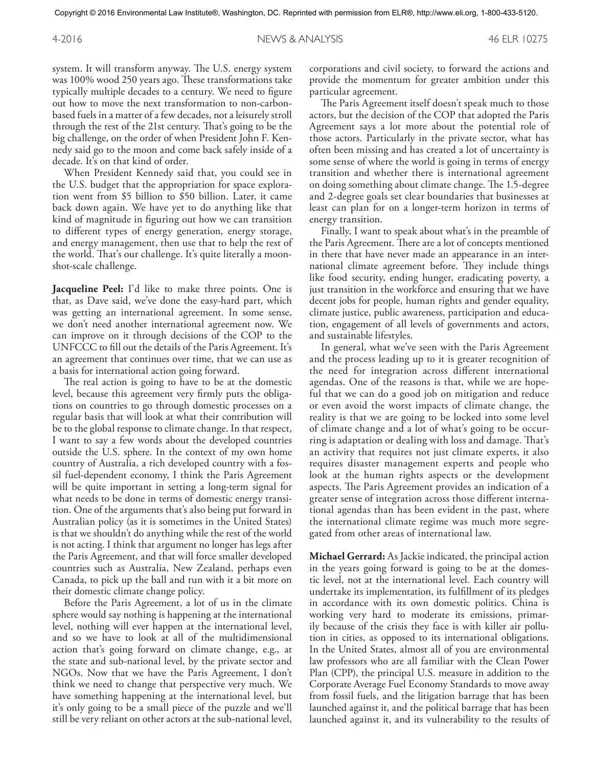system. It will transform anyway. The U.S. energy system was 100% wood 250 years ago. These transformations take typically multiple decades to a century. We need to figure out how to move the next transformation to non-carbonbased fuels in a matter of a few decades, not a leisurely stroll through the rest of the 21st century. That's going to be the big challenge, on the order of when President John F. Kennedy said go to the moon and come back safely inside of a decade. It's on that kind of order.

When President Kennedy said that, you could see in the U.S. budget that the appropriation for space exploration went from \$5 billion to \$50 billion. Later, it came back down again. We have yet to do anything like that kind of magnitude in figuring out how we can transition to different types of energy generation, energy storage, and energy management, then use that to help the rest of the world. That's our challenge. It's quite literally a moonshot-scale challenge.

**Jacqueline Peel:** I'd like to make three points. One is that, as Dave said, we've done the easy-hard part, which was getting an international agreement. In some sense, we don't need another international agreement now. We can improve on it through decisions of the COP to the UNFCCC to fill out the details of the Paris Agreement. It's an agreement that continues over time, that we can use as a basis for international action going forward.

The real action is going to have to be at the domestic level, because this agreement very firmly puts the obligations on countries to go through domestic processes on a regular basis that will look at what their contribution will be to the global response to climate change. In that respect, I want to say a few words about the developed countries outside the U.S. sphere. In the context of my own home country of Australia, a rich developed country with a fossil fuel-dependent economy, I think the Paris Agreement will be quite important in setting a long-term signal for what needs to be done in terms of domestic energy transition. One of the arguments that's also being put forward in Australian policy (as it is sometimes in the United States) is that we shouldn't do anything while the rest of the world is not acting. I think that argument no longer has legs after the Paris Agreement, and that will force smaller developed countries such as Australia, New Zealand, perhaps even Canada, to pick up the ball and run with it a bit more on their domestic climate change policy.

Before the Paris Agreement, a lot of us in the climate sphere would say nothing is happening at the international level, nothing will ever happen at the international level, and so we have to look at all of the multidimensional action that's going forward on climate change, e.g., at the state and sub-national level, by the private sector and NGOs. Now that we have the Paris Agreement, I don't think we need to change that perspective very much. We have something happening at the international level, but it's only going to be a small piece of the puzzle and we'll still be very reliant on other actors at the sub-national level,

corporations and civil society, to forward the actions and provide the momentum for greater ambition under this particular agreement.

The Paris Agreement itself doesn't speak much to those actors, but the decision of the COP that adopted the Paris Agreement says a lot more about the potential role of those actors. Particularly in the private sector, what has often been missing and has created a lot of uncertainty is some sense of where the world is going in terms of energy transition and whether there is international agreement on doing something about climate change. The 1.5-degree and 2-degree goals set clear boundaries that businesses at least can plan for on a longer-term horizon in terms of energy transition.

Finally, I want to speak about what's in the preamble of the Paris Agreement. There are a lot of concepts mentioned in there that have never made an appearance in an international climate agreement before. They include things like food security, ending hunger, eradicating poverty, a just transition in the workforce and ensuring that we have decent jobs for people, human rights and gender equality, climate justice, public awareness, participation and education, engagement of all levels of governments and actors, and sustainable lifestyles.

In general, what we've seen with the Paris Agreement and the process leading up to it is greater recognition of the need for integration across different international agendas. One of the reasons is that, while we are hopeful that we can do a good job on mitigation and reduce or even avoid the worst impacts of climate change, the reality is that we are going to be locked into some level of climate change and a lot of what's going to be occurring is adaptation or dealing with loss and damage. That's an activity that requires not just climate experts, it also requires disaster management experts and people who look at the human rights aspects or the development aspects. The Paris Agreement provides an indication of a greater sense of integration across those different international agendas than has been evident in the past, where the international climate regime was much more segregated from other areas of international law.

**Michael Gerrard:** As Jackie indicated, the principal action in the years going forward is going to be at the domestic level, not at the international level. Each country will undertake its implementation, its fulfillment of its pledges in accordance with its own domestic politics. China is working very hard to moderate its emissions, primarily because of the crisis they face is with killer air pollution in cities, as opposed to its international obligations. In the United States, almost all of you are environmental law professors who are all familiar with the Clean Power Plan (CPP), the principal U.S. measure in addition to the Corporate Average Fuel Economy Standards to move away from fossil fuels, and the litigation barrage that has been launched against it, and the political barrage that has been launched against it, and its vulnerability to the results of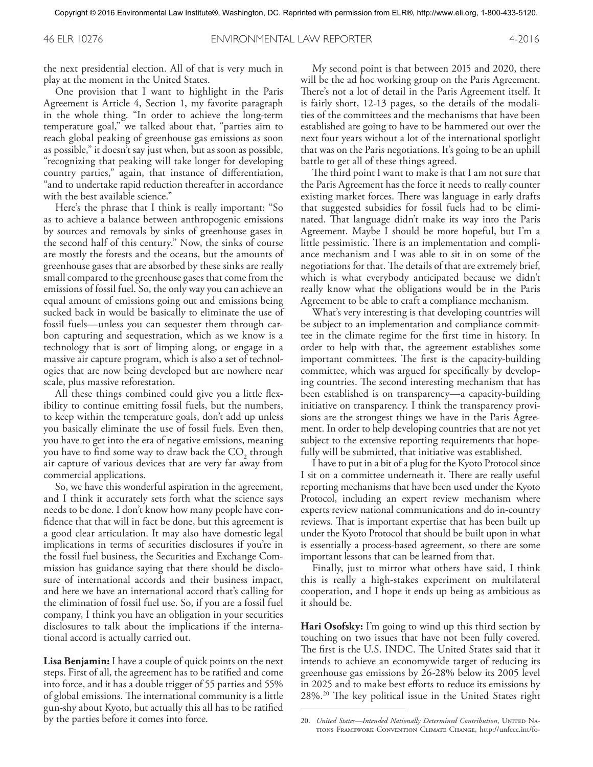the next presidential election. All of that is very much in play at the moment in the United States.

One provision that I want to highlight in the Paris Agreement is Article 4, Section 1, my favorite paragraph in the whole thing. "In order to achieve the long-term temperature goal," we talked about that, "parties aim to reach global peaking of greenhouse gas emissions as soon as possible," it doesn't say just when, but as soon as possible, "recognizing that peaking will take longer for developing country parties," again, that instance of differentiation, "and to undertake rapid reduction thereafter in accordance with the best available science."

Here's the phrase that I think is really important: "So as to achieve a balance between anthropogenic emissions by sources and removals by sinks of greenhouse gases in the second half of this century." Now, the sinks of course are mostly the forests and the oceans, but the amounts of greenhouse gases that are absorbed by these sinks are really small compared to the greenhouse gases that come from the emissions of fossil fuel. So, the only way you can achieve an equal amount of emissions going out and emissions being sucked back in would be basically to eliminate the use of fossil fuels—unless you can sequester them through carbon capturing and sequestration, which as we know is a technology that is sort of limping along, or engage in a massive air capture program, which is also a set of technologies that are now being developed but are nowhere near scale, plus massive reforestation.

All these things combined could give you a little flexibility to continue emitting fossil fuels, but the numbers, to keep within the temperature goals, don't add up unless you basically eliminate the use of fossil fuels. Even then, you have to get into the era of negative emissions, meaning you have to find some way to draw back the  $CO<sub>2</sub>$  through air capture of various devices that are very far away from commercial applications.

So, we have this wonderful aspiration in the agreement, and I think it accurately sets forth what the science says needs to be done. I don't know how many people have confidence that that will in fact be done, but this agreement is a good clear articulation. It may also have domestic legal implications in terms of securities disclosures if you're in the fossil fuel business, the Securities and Exchange Commission has guidance saying that there should be disclosure of international accords and their business impact, and here we have an international accord that's calling for the elimination of fossil fuel use. So, if you are a fossil fuel company, I think you have an obligation in your securities disclosures to talk about the implications if the international accord is actually carried out.

**Lisa Benjamin:** I have a couple of quick points on the next steps. First of all, the agreement has to be ratified and come into force, and it has a double trigger of 55 parties and 55% of global emissions. The international community is a little gun-shy about Kyoto, but actually this all has to be ratified by the parties before it comes into force.

My second point is that between 2015 and 2020, there will be the ad hoc working group on the Paris Agreement. There's not a lot of detail in the Paris Agreement itself. It is fairly short, 12-13 pages, so the details of the modalities of the committees and the mechanisms that have been established are going to have to be hammered out over the next four years without a lot of the international spotlight that was on the Paris negotiations. It's going to be an uphill battle to get all of these things agreed.

The third point I want to make is that I am not sure that the Paris Agreement has the force it needs to really counter existing market forces. There was language in early drafts that suggested subsidies for fossil fuels had to be eliminated. That language didn't make its way into the Paris Agreement. Maybe I should be more hopeful, but I'm a little pessimistic. There is an implementation and compliance mechanism and I was able to sit in on some of the negotiations for that. The details of that are extremely brief, which is what everybody anticipated because we didn't really know what the obligations would be in the Paris Agreement to be able to craft a compliance mechanism.

What's very interesting is that developing countries will be subject to an implementation and compliance committee in the climate regime for the first time in history. In order to help with that, the agreement establishes some important committees. The first is the capacity-building committee, which was argued for specifically by developing countries. The second interesting mechanism that has been established is on transparency—a capacity-building initiative on transparency. I think the transparency provisions are the strongest things we have in the Paris Agreement. In order to help developing countries that are not yet subject to the extensive reporting requirements that hopefully will be submitted, that initiative was established.

I have to put in a bit of a plug for the Kyoto Protocol since I sit on a committee underneath it. There are really useful reporting mechanisms that have been used under the Kyoto Protocol, including an expert review mechanism where experts review national communications and do in-country reviews. That is important expertise that has been built up under the Kyoto Protocol that should be built upon in what is essentially a process-based agreement, so there are some important lessons that can be learned from that.

Finally, just to mirror what others have said, I think this is really a high-stakes experiment on multilateral cooperation, and I hope it ends up being as ambitious as it should be.

**Hari Osofsky:** I'm going to wind up this third section by touching on two issues that have not been fully covered. The first is the U.S. INDC. The United States said that it intends to achieve an economywide target of reducing its greenhouse gas emissions by 26-28% below its 2005 level in 2025 and to make best efforts to reduce its emissions by 28%.20 The key political issue in the United States right

<sup>20.</sup> *United States—Intended Nationally Determined Contribution*, UNITED NAtions Framework Convention Climate Change, http://unfccc.int/fo-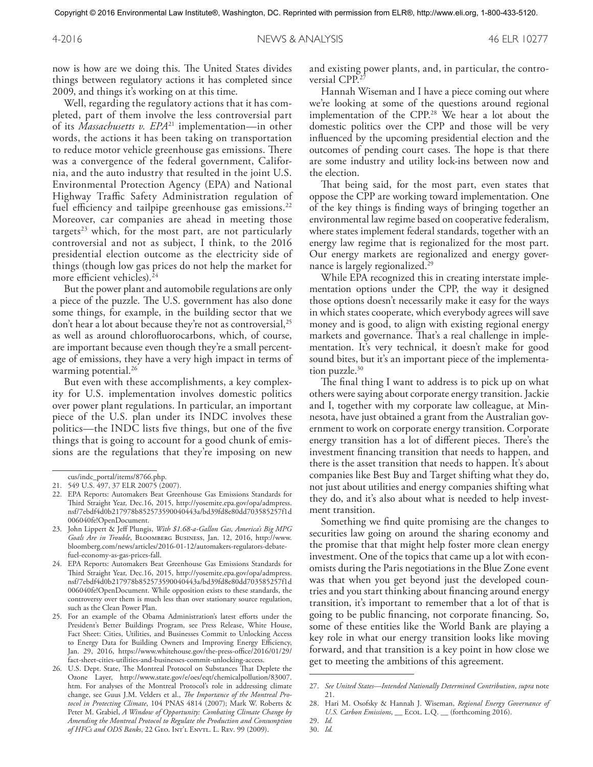now is how are we doing this. The United States divides things between regulatory actions it has completed since 2009, and things it's working on at this time.

Well, regarding the regulatory actions that it has completed, part of them involve the less controversial part of its *Massachusetts v. EPA*21 implementation—in other words, the actions it has been taking on transportation to reduce motor vehicle greenhouse gas emissions. There was a convergence of the federal government, California, and the auto industry that resulted in the joint U.S. Environmental Protection Agency (EPA) and National Highway Traffic Safety Administration regulation of fuel efficiency and tailpipe greenhouse gas emissions.<sup>22</sup> Moreover, car companies are ahead in meeting those targets<sup>23</sup> which, for the most part, are not particularly controversial and not as subject, I think, to the 2016 presidential election outcome as the electricity side of things (though low gas prices do not help the market for more efficient vehicles).<sup>24</sup>

But the power plant and automobile regulations are only a piece of the puzzle. The U.S. government has also done some things, for example, in the building sector that we don't hear a lot about because they're not as controversial,<sup>25</sup> as well as around chlorofluorocarbons, which, of course, are important because even though they're a small percentage of emissions, they have a very high impact in terms of warming potential.<sup>26</sup>

But even with these accomplishments, a key complexity for U.S. implementation involves domestic politics over power plant regulations. In particular, an important piece of the U.S. plan under its INDC involves these politics—the INDC lists five things, but one of the five things that is going to account for a good chunk of emissions are the regulations that they're imposing on new and existing power plants, and, in particular, the controversial CPP.27

Hannah Wiseman and I have a piece coming out where we're looking at some of the questions around regional implementation of the CPP.28 We hear a lot about the domestic politics over the CPP and those will be very influenced by the upcoming presidential election and the outcomes of pending court cases. The hope is that there are some industry and utility lock-ins between now and the election.

That being said, for the most part, even states that oppose the CPP are working toward implementation. One of the key things is finding ways of bringing together an environmental law regime based on cooperative federalism, where states implement federal standards, together with an energy law regime that is regionalized for the most part. Our energy markets are regionalized and energy governance is largely regionalized.29

While EPA recognized this in creating interstate implementation options under the CPP, the way it designed those options doesn't necessarily make it easy for the ways in which states cooperate, which everybody agrees will save money and is good, to align with existing regional energy markets and governance. That's a real challenge in implementation. It's very technical, it doesn't make for good sound bites, but it's an important piece of the implementation puzzle.<sup>30</sup>

The final thing I want to address is to pick up on what others were saying about corporate energy transition. Jackie and I, together with my corporate law colleague, at Minnesota, have just obtained a grant from the Australian government to work on corporate energy transition. Corporate energy transition has a lot of different pieces. There's the investment financing transition that needs to happen, and there is the asset transition that needs to happen. It's about companies like Best Buy and Target shifting what they do, not just about utilities and energy companies shifting what they do, and it's also about what is needed to help investment transition.

Something we find quite promising are the changes to securities law going on around the sharing economy and the promise that that might help foster more clean energy investment. One of the topics that came up a lot with economists during the Paris negotiations in the Blue Zone event was that when you get beyond just the developed countries and you start thinking about financing around energy transition, it's important to remember that a lot of that is going to be public financing, not corporate financing. So, some of these entities like the World Bank are playing a key role in what our energy transition looks like moving forward, and that transition is a key point in how close we get to meeting the ambitions of this agreement.

cus/indc\_portal/items/8766.php.

<sup>549</sup> U.S. 497, 37 ELR 20075 (2007).

<sup>22.</sup> EPA Reports: Automakers Beat Greenhouse Gas Emissions Standards for Third Straight Year, Dec.16, 2015, http://yosemite.epa.gov/opa/admpress. nsf/7ebdf4d0b217978b852573590040443a/bd39fd8e80dd703585257f1d 006040fe!OpenDocument.

<sup>23.</sup> John Lippert & Jeff Plungis, *With \$1.68-a-Gallon Gas, America's Big MPG Goals Are in Trouble*, Bloomberg Business, Jan. 12, 2016, http://www. bloomberg.com/news/articles/2016-01-12/automakers-regulators-debatefuel-economy-as-gas-prices-fall.

<sup>24.</sup> EPA Reports: Automakers Beat Greenhouse Gas Emissions Standards for Third Straight Year, Dec.16, 2015, http://yosemite.epa.gov/opa/admpress. nsf/7ebdf4d0b217978b852573590040443a/bd39fd8e80dd703585257f1d 006040fe!OpenDocument. While opposition exists to these standards, the controversy over them is much less than over stationary source regulation, such as the Clean Power Plan.

<sup>25.</sup> For an example of the Obama Administration's latest efforts under the President's Better Buildings Program, see Press Release, White House, Fact Sheet: Cities, Utilities, and Businesses Commit to Unlocking Access to Energy Data for Building Owners and Improving Energy Efficiency, Jan. 29, 2016, https://www.whitehouse.gov/the-press-office/2016/01/29/ fact-sheet-cities-utilities-and-businesses-commit-unlocking-access.

<sup>26.</sup> U.S. Dept. State, The Montreal Protocol on Substances That Deplete the Ozone Layer, http://www.state.gov/e/oes/eqt/chemicalpollution/83007. htm. For analyses of the Montreal Protocol's role in addressing climate change, see Guus J.M. Velders et al., *The Importance of the Montreal Protocol in Protecting Climate*, 104 PNAS 4814 (2007); Mark W. Roberts & Peter M. Grabiel, *A Window of Opportunity: Combating Climate Change by Amending the Montreal Protocol to Regulate the Production and Consumption of HFCs and ODS Banks*, 22 Geo. Int'l Envtl. L. Rev. 99 (2009).

<sup>27.</sup> *See United States—Intended Nationally Determined Contribution*, *supra* note 21.

<sup>28.</sup> Hari M. Osofsky & Hannah J. Wiseman, *Regional Energy Governance of U.S. Carbon Emissions*, \_\_ Ecol. L.Q. \_\_ (forthcoming 2016).

<sup>29.</sup> *Id.* 30. *Id.*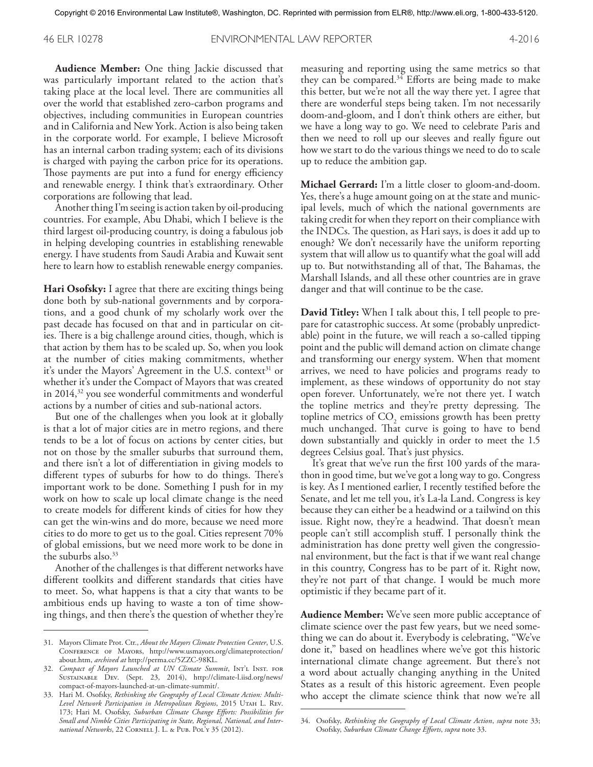46 ELR 10278 ENVIRONMENTAL LAW REPORTER 4-2016

**Audience Member:** One thing Jackie discussed that was particularly important related to the action that's taking place at the local level. There are communities all over the world that established zero-carbon programs and objectives, including communities in European countries and in California and New York. Action is also being taken in the corporate world. For example, I believe Microsoft has an internal carbon trading system; each of its divisions is charged with paying the carbon price for its operations. Those payments are put into a fund for energy efficiency and renewable energy. I think that's extraordinary. Other corporations are following that lead.

Another thing I'm seeing is action taken by oil-producing countries. For example, Abu Dhabi, which I believe is the third largest oil-producing country, is doing a fabulous job in helping developing countries in establishing renewable energy. I have students from Saudi Arabia and Kuwait sent here to learn how to establish renewable energy companies.

**Hari Osofsky:** I agree that there are exciting things being done both by sub-national governments and by corporations, and a good chunk of my scholarly work over the past decade has focused on that and in particular on cities. There is a big challenge around cities, though, which is that action by them has to be scaled up. So, when you look at the number of cities making commitments, whether it's under the Mayors' Agreement in the U.S. context<sup>31</sup> or whether it's under the Compact of Mayors that was created in 2014,<sup>32</sup> you see wonderful commitments and wonderful actions by a number of cities and sub-national actors.

But one of the challenges when you look at it globally is that a lot of major cities are in metro regions, and there tends to be a lot of focus on actions by center cities, but not on those by the smaller suburbs that surround them, and there isn't a lot of differentiation in giving models to different types of suburbs for how to do things. There's important work to be done. Something I push for in my work on how to scale up local climate change is the need to create models for different kinds of cities for how they can get the win-wins and do more, because we need more cities to do more to get us to the goal. Cities represent 70% of global emissions, but we need more work to be done in the suburbs also.<sup>33</sup>

Another of the challenges is that different networks have different toolkits and different standards that cities have to meet. So, what happens is that a city that wants to be ambitious ends up having to waste a ton of time showing things, and then there's the question of whether they're measuring and reporting using the same metrics so that they can be compared.<sup>34</sup> Efforts are being made to make this better, but we're not all the way there yet. I agree that there are wonderful steps being taken. I'm not necessarily doom-and-gloom, and I don't think others are either, but we have a long way to go. We need to celebrate Paris and then we need to roll up our sleeves and really figure out how we start to do the various things we need to do to scale up to reduce the ambition gap.

**Michael Gerrard:** I'm a little closer to gloom-and-doom. Yes, there's a huge amount going on at the state and municipal levels, much of which the national governments are taking credit for when they report on their compliance with the INDCs. The question, as Hari says, is does it add up to enough? We don't necessarily have the uniform reporting system that will allow us to quantify what the goal will add up to. But notwithstanding all of that, The Bahamas, the Marshall Islands, and all these other countries are in grave danger and that will continue to be the case.

**David Titley:** When I talk about this, I tell people to prepare for catastrophic success. At some (probably unpredictable) point in the future, we will reach a so-called tipping point and the public will demand action on climate change and transforming our energy system. When that moment arrives, we need to have policies and programs ready to implement, as these windows of opportunity do not stay open forever. Unfortunately, we're not there yet. I watch the topline metrics and they're pretty depressing. The topline metrics of  $CO<sub>2</sub>$  emissions growth has been pretty much unchanged. That curve is going to have to bend down substantially and quickly in order to meet the 1.5 degrees Celsius goal. That's just physics.

It's great that we've run the first 100 yards of the marathon in good time, but we've got a long way to go. Congress is key. As I mentioned earlier, I recently testified before the Senate, and let me tell you, it's La-la Land. Congress is key because they can either be a headwind or a tailwind on this issue. Right now, they're a headwind. That doesn't mean people can't still accomplish stuff. I personally think the administration has done pretty well given the congressional environment, but the fact is that if we want real change in this country, Congress has to be part of it. Right now, they're not part of that change. I would be much more optimistic if they became part of it.

**Audience Member:** We've seen more public acceptance of climate science over the past few years, but we need something we can do about it. Everybody is celebrating, "We've done it," based on headlines where we've got this historic international climate change agreement. But there's not a word about actually changing anything in the United States as a result of this historic agreement. Even people who accept the climate science think that now we're all

<sup>31.</sup> Mayors Climate Prot. Ctr., *About the Mayors Climate Protection Center*, U.S. Conference of Mayors, http://www.usmayors.org/climateprotection/ about.htm, *archived at* http://perma.cc/5ZZC-98KL.

<sup>32.</sup> Compact of Mayors Launched at UN Climate Summit, INT'L INST. FOR Sustainable Dev. (Sept. 23, 2014), http://climate-l.iisd.org/news/ compact-of-mayors-launched-at-un-climate-summit/.

<sup>33.</sup> Hari M. Osofsky, *Rethinking the Geography of Local Climate Action: Multi-Level Network Participation in Metropolitan Regions*, 2015 Utah L. Rev. 173; Hari M. Osofsky, *Suburban Climate Change Efforts: Possibilities for Small and Nimble Cities Participating in State, Regional, National, and Inter*national Networks, 22 CORNELL J. L. & PUB. POL'Y 35 (2012).

<sup>34.</sup> Osofsky, *Rethinking the Geography of Local Climate Action*, *supra* note 33; Osofsky, *Suburban Climate Change Efforts*, *supra* note 33.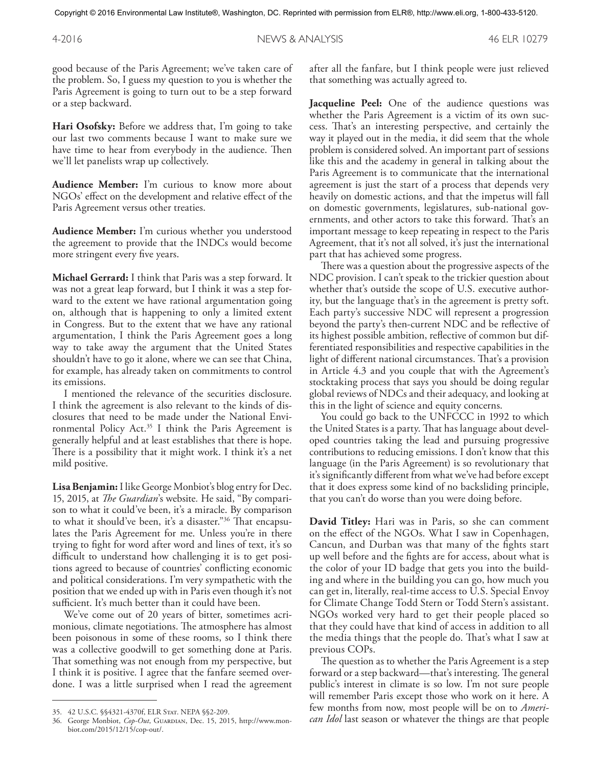good because of the Paris Agreement; we've taken care of the problem. So, I guess my question to you is whether the Paris Agreement is going to turn out to be a step forward or a step backward.

**Hari Osofsky:** Before we address that, I'm going to take our last two comments because I want to make sure we have time to hear from everybody in the audience. Then we'll let panelists wrap up collectively.

**Audience Member:** I'm curious to know more about NGOs' effect on the development and relative effect of the Paris Agreement versus other treaties.

**Audience Member:** I'm curious whether you understood the agreement to provide that the INDCs would become more stringent every five years.

**Michael Gerrard:** I think that Paris was a step forward. It was not a great leap forward, but I think it was a step forward to the extent we have rational argumentation going on, although that is happening to only a limited extent in Congress. But to the extent that we have any rational argumentation, I think the Paris Agreement goes a long way to take away the argument that the United States shouldn't have to go it alone, where we can see that China, for example, has already taken on commitments to control its emissions.

I mentioned the relevance of the securities disclosure. I think the agreement is also relevant to the kinds of disclosures that need to be made under the National Environmental Policy Act.<sup>35</sup> I think the Paris Agreement is generally helpful and at least establishes that there is hope. There is a possibility that it might work. I think it's a net mild positive.

**Lisa Benjamin:** I like George Monbiot's blog entry for Dec. 15, 2015, at *The Guardian*'s website*.* He said, "By comparison to what it could've been, it's a miracle. By comparison to what it should've been, it's a disaster."36 That encapsulates the Paris Agreement for me. Unless you're in there trying to fight for word after word and lines of text, it's so difficult to understand how challenging it is to get positions agreed to because of countries' conflicting economic and political considerations. I'm very sympathetic with the position that we ended up with in Paris even though it's not sufficient. It's much better than it could have been.

We've come out of 20 years of bitter, sometimes acrimonious, climate negotiations. The atmosphere has almost been poisonous in some of these rooms, so I think there was a collective goodwill to get something done at Paris. That something was not enough from my perspective, but I think it is positive. I agree that the fanfare seemed overdone. I was a little surprised when I read the agreement after all the fanfare, but I think people were just relieved that something was actually agreed to.

**Jacqueline Peel:** One of the audience questions was whether the Paris Agreement is a victim of its own success. That's an interesting perspective, and certainly the way it played out in the media, it did seem that the whole problem is considered solved. An important part of sessions like this and the academy in general in talking about the Paris Agreement is to communicate that the international agreement is just the start of a process that depends very heavily on domestic actions, and that the impetus will fall on domestic governments, legislatures, sub-national governments, and other actors to take this forward. That's an important message to keep repeating in respect to the Paris Agreement, that it's not all solved, it's just the international part that has achieved some progress.

There was a question about the progressive aspects of the NDC provision. I can't speak to the trickier question about whether that's outside the scope of U.S. executive authority, but the language that's in the agreement is pretty soft. Each party's successive NDC will represent a progression beyond the party's then-current NDC and be reflective of its highest possible ambition, reflective of common but differentiated responsibilities and respective capabilities in the light of different national circumstances. That's a provision in Article 4.3 and you couple that with the Agreement's stocktaking process that says you should be doing regular global reviews of NDCs and their adequacy, and looking at this in the light of science and equity concerns.

You could go back to the UNFCCC in 1992 to which the United States is a party. That has language about developed countries taking the lead and pursuing progressive contributions to reducing emissions. I don't know that this language (in the Paris Agreement) is so revolutionary that it's significantly different from what we've had before except that it does express some kind of no backsliding principle, that you can't do worse than you were doing before.

**David Titley:** Hari was in Paris, so she can comment on the effect of the NGOs. What I saw in Copenhagen, Cancun, and Durban was that many of the fights start up well before and the fights are for access, about what is the color of your ID badge that gets you into the building and where in the building you can go, how much you can get in, literally, real-time access to U.S. Special Envoy for Climate Change Todd Stern or Todd Stern's assistant. NGOs worked very hard to get their people placed so that they could have that kind of access in addition to all the media things that the people do. That's what I saw at previous COPs.

The question as to whether the Paris Agreement is a step forward or a step backward—that's interesting. The general public's interest in climate is so low. I'm not sure people will remember Paris except those who work on it here. A few months from now, most people will be on to *American Idol* last season or whatever the things are that people

<sup>35.</sup> 42 U.S.C. §§4321-4370f, ELR Stat. NEPA §§2-209.

<sup>36.</sup> George Monbiot, *Cop-Out*, GUARDIAN, Dec. 15, 2015, http://www.monbiot.com/2015/12/15/cop-out/.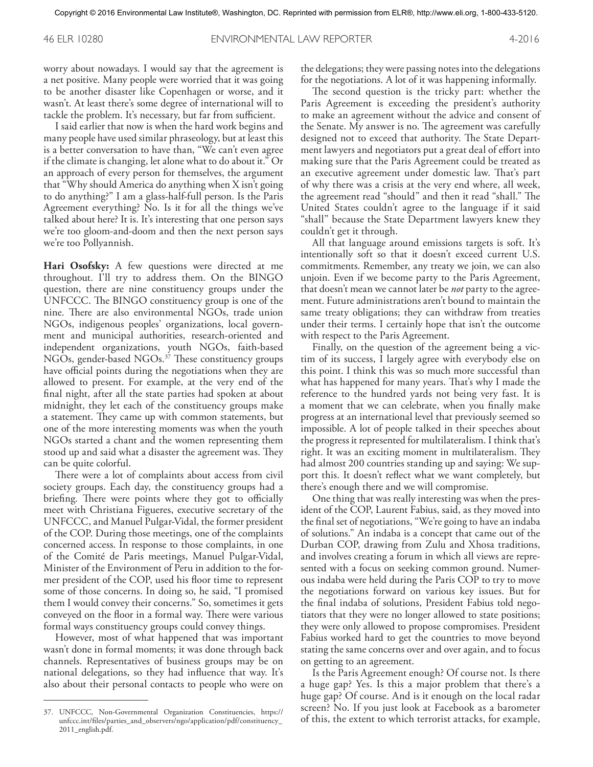worry about nowadays. I would say that the agreement is a net positive. Many people were worried that it was going to be another disaster like Copenhagen or worse, and it wasn't. At least there's some degree of international will to tackle the problem. It's necessary, but far from sufficient.

I said earlier that now is when the hard work begins and many people have used similar phraseology, but at least this is a better conversation to have than, "We can't even agree if the climate is changing, let alone what to do about it." Or an approach of every person for themselves, the argument that "Why should America do anything when X isn't going to do anything?" I am a glass-half-full person. Is the Paris Agreement everything? No. Is it for all the things we've talked about here? It is. It's interesting that one person says we're too gloom-and-doom and then the next person says we're too Pollyannish.

**Hari Osofsky:** A few questions were directed at me throughout. I'll try to address them. On the BINGO question, there are nine constituency groups under the UNFCCC. The BINGO constituency group is one of the nine. There are also environmental NGOs, trade union NGOs, indigenous peoples' organizations, local government and municipal authorities, research-oriented and independent organizations, youth NGOs, faith-based NGOs, gender-based NGOs.<sup>37</sup> These constituency groups have official points during the negotiations when they are allowed to present. For example, at the very end of the final night, after all the state parties had spoken at about midnight, they let each of the constituency groups make a statement. They came up with common statements, but one of the more interesting moments was when the youth NGOs started a chant and the women representing them stood up and said what a disaster the agreement was. They can be quite colorful.

There were a lot of complaints about access from civil society groups. Each day, the constituency groups had a briefing. There were points where they got to officially meet with Christiana Figueres, executive secretary of the UNFCCC, and Manuel Pulgar-Vidal, the former president of the COP. During those meetings, one of the complaints concerned access. In response to those complaints, in one of the Comité de Paris meetings, Manuel Pulgar-Vidal, Minister of the Environment of Peru in addition to the former president of the COP, used his floor time to represent some of those concerns. In doing so, he said, "I promised them I would convey their concerns." So, sometimes it gets conveyed on the floor in a formal way. There were various formal ways constituency groups could convey things.

However, most of what happened that was important wasn't done in formal moments; it was done through back channels. Representatives of business groups may be on national delegations, so they had influence that way. It's also about their personal contacts to people who were on the delegations; they were passing notes into the delegations for the negotiations. A lot of it was happening informally.

The second question is the tricky part: whether the Paris Agreement is exceeding the president's authority to make an agreement without the advice and consent of the Senate. My answer is no. The agreement was carefully designed not to exceed that authority. The State Department lawyers and negotiators put a great deal of effort into making sure that the Paris Agreement could be treated as an executive agreement under domestic law. That's part of why there was a crisis at the very end where, all week, the agreement read "should" and then it read "shall." The United States couldn't agree to the language if it said "shall" because the State Department lawyers knew they couldn't get it through.

All that language around emissions targets is soft. It's intentionally soft so that it doesn't exceed current U.S. commitments. Remember, any treaty we join, we can also unjoin. Even if we become party to the Paris Agreement, that doesn't mean we cannot later be *not* party to the agreement. Future administrations aren't bound to maintain the same treaty obligations; they can withdraw from treaties under their terms. I certainly hope that isn't the outcome with respect to the Paris Agreement.

Finally, on the question of the agreement being a victim of its success, I largely agree with everybody else on this point. I think this was so much more successful than what has happened for many years. That's why I made the reference to the hundred yards not being very fast. It is a moment that we can celebrate, when you finally make progress at an international level that previously seemed so impossible. A lot of people talked in their speeches about the progress it represented for multilateralism. I think that's right. It was an exciting moment in multilateralism. They had almost 200 countries standing up and saying: We support this. It doesn't reflect what we want completely, but there's enough there and we will compromise.

One thing that was really interesting was when the president of the COP, Laurent Fabius, said, as they moved into the final set of negotiations, "We're going to have an indaba of solutions." An indaba is a concept that came out of the Durban COP, drawing from Zulu and Xhosa traditions, and involves creating a forum in which all views are represented with a focus on seeking common ground. Numerous indaba were held during the Paris COP to try to move the negotiations forward on various key issues. But for the final indaba of solutions, President Fabius told negotiators that they were no longer allowed to state positions; they were only allowed to propose compromises. President Fabius worked hard to get the countries to move beyond stating the same concerns over and over again, and to focus on getting to an agreement.

Is the Paris Agreement enough? Of course not. Is there a huge gap? Yes. Is this a major problem that there's a huge gap? Of course. And is it enough on the local radar screen? No. If you just look at Facebook as a barometer of this, the extent to which terrorist attacks, for example,

<sup>37.</sup> UNFCCC, Non-Governmental Organization Constituencies, https:// unfccc.int/files/parties\_and\_observers/ngo/application/pdf/constituency\_ 2011\_english.pdf.